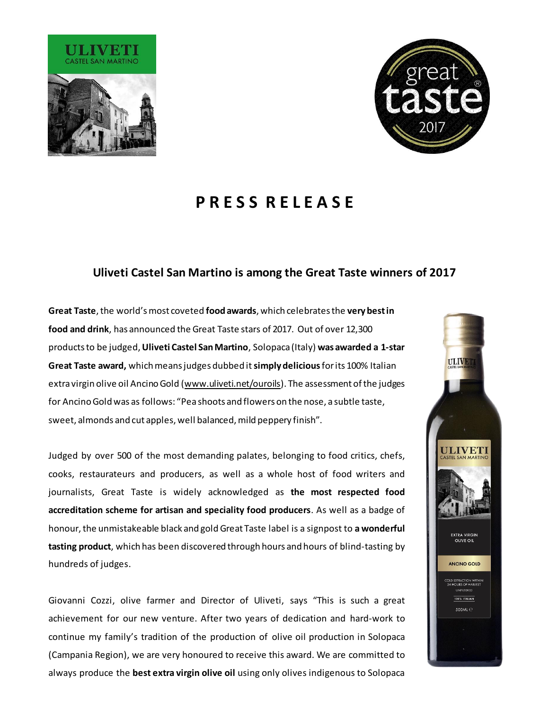



ULIVET

**ULIVET** 

**EXTRA VIRGIN OLIVE OIL** 

ANCINO GOLD

OLD EXTRACTION WITHI<mark>I</mark><br>24 HOURS OF HARVEST **100% ITALIAN** 500ML <sup>e</sup>

# **P R E S S R E L E A S E**

## **Uliveti Castel San Martino is among the Great Taste winners of 2017**

**Great Taste**, the world's most coveted **food awards**, which celebrates the **very best in food and drink**, has announced the Great Taste stars of 2017. Out of over 12,300 products to be judged,**Uliveti Castel San Martino**, Solopaca (Italy) **was awarded a 1-star Great Taste award,** which means judges dubbed it **simply delicious**for its 100% Italian extra virgin olive oil Ancino Gold [\(www.uliveti.net/ouroils](http://www.uliveti.net/ouroils)). The assessment of the judges for Ancino Gold was as follows: "Pea shoots and flowers on the nose, a subtle taste, sweet, almonds and cut apples, well balanced, mild peppery finish".

Judged by over 500 of the most demanding palates, belonging to food critics, chefs, cooks, restaurateurs and producers, as well as a whole host of food writers and journalists, Great Taste is widely acknowledged as **the most respected food accreditation scheme for artisan and speciality food producers**. As well as a badge of honour, the unmistakeable black and gold Great Taste label is a signpost to **a wonderful tasting product**, which has been discovered through hours and hours of blind-tasting by hundreds of judges.

Giovanni Cozzi, olive farmer and Director of Uliveti, says "This is such a great achievement for our new venture. After two years of dedication and hard-work to continue my family's tradition of the production of olive oil production in Solopaca (Campania Region), we are very honoured to receive this award. We are committed to always produce the **best extra virgin olive oil** using only olives indigenous to Solopaca